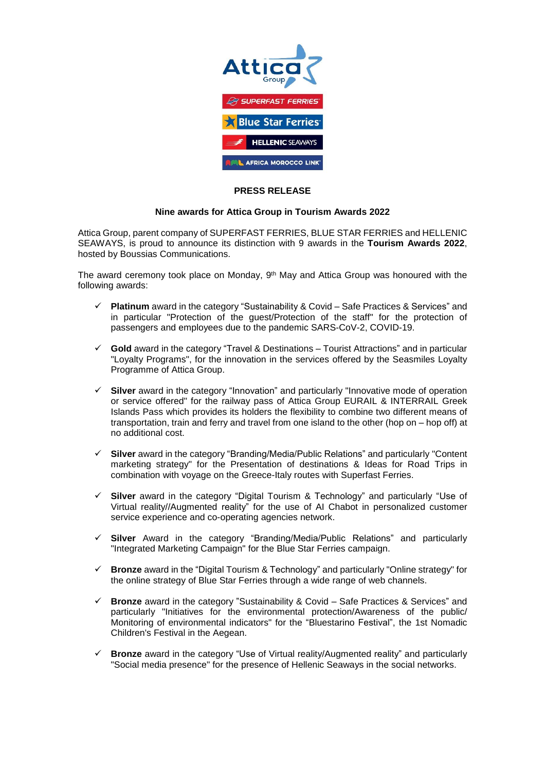

## **PRESS RELEASE**

## **Nine awards for Attica Group in Tourism Awards 2022**

Attica Group, parent company of SUPERFAST FERRIES, BLUE STAR FERRIES and HELLENIC SEAWAYS, is proud to announce its distinction with 9 awards in the **Tourism Awards 2022**, hosted by Boussias Communications.

The award ceremony took place on Monday, 9<sup>th</sup> May and Attica Group was honoured with the following awards:

- **Platinum** award in the category "Sustainability & Covid Safe Practices & Services" and in particular "Protection of the guest/Protection of the staff" for the protection of passengers and employees due to the pandemic SARS-CoV-2, COVID-19.
- **Gold** award in the category "Travel & Destinations Tourist Attractions" and in particular "Loyalty Programs", for the innovation in the services offered by the Seasmiles Loyalty Programme of Attica Group.
- **Silver** award in the category "Innovation" and particularly "Innovative mode of operation or service offered" for the railway pass of Attica Group EURAIL & INTERRAIL Greek Islands Pass which provides its holders the flexibility to combine two different means of transportation, train and ferry and travel from one island to the other (hop on – hop off) at no additional cost.
- **Silver** award in the category "Branding/Media/Public Relations" and particularly "Content marketing strategy" for the Presentation of destinations & Ideas for Road Trips in combination with voyage on the Greece-Italy routes with Superfast Ferries.
- **Silver** award in the category "Digital Tourism & Technology" and particularly "Use of Virtual reality//Augmented reality" for the use of AI Chabot in personalized customer service experience and co-operating agencies network.
- **Silver** Award in the category "Branding/Media/Public Relations" and particularly "Integrated Marketing Campaign" for the Blue Star Ferries campaign.
- **Bronze** award in the "Digital Tourism & Technology" and particularly "Online strategy" for the online strategy of Blue Star Ferries through a wide range of web channels.
- **Bronze** award in the category "Sustainability & Covid Safe Practices & Services" and particularly "Initiatives for the environmental protection/Awareness of the public/ Monitoring of environmental indicators" for the "Bluestarino Festival", the 1st Nomadic Children's Festival in the Aegean.
- **Bronze** award in the category "Use of Virtual reality/Augmented reality" and particularly "Social media presence" for the presence of Hellenic Seaways in the social networks.